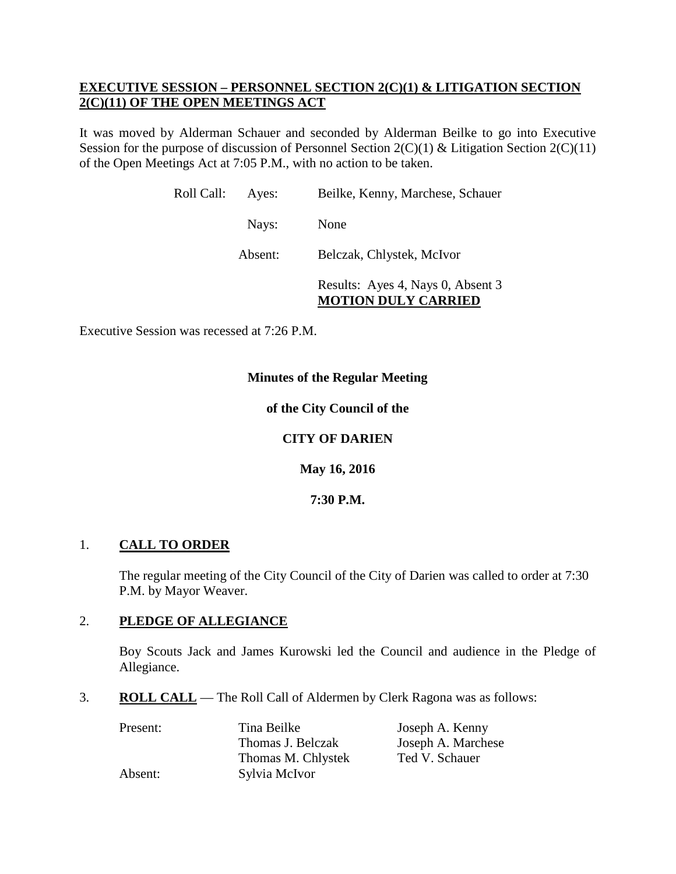# **EXECUTIVE SESSION – PERSONNEL SECTION 2(C)(1) & LITIGATION SECTION 2(C)(11) OF THE OPEN MEETINGS ACT**

It was moved by Alderman Schauer and seconded by Alderman Beilke to go into Executive Session for the purpose of discussion of Personnel Section 2(C)(1) & Litigation Section 2(C)(11) of the Open Meetings Act at 7:05 P.M., with no action to be taken.

| Roll Call: | Ayes:   | Beilke, Kenny, Marchese, Schauer                                |
|------------|---------|-----------------------------------------------------------------|
|            | Nays:   | None                                                            |
|            | Absent: | Belczak, Chlystek, McIvor                                       |
|            |         | Results: Ayes 4, Nays 0, Absent 3<br><b>MOTION DULY CARRIED</b> |

Executive Session was recessed at 7:26 P.M.

# **Minutes of the Regular Meeting**

# **of the City Council of the**

# **CITY OF DARIEN**

**May 16, 2016**

**7:30 P.M.**

# 1. **CALL TO ORDER**

The regular meeting of the City Council of the City of Darien was called to order at 7:30 P.M. by Mayor Weaver.

# 2. **PLEDGE OF ALLEGIANCE**

Boy Scouts Jack and James Kurowski led the Council and audience in the Pledge of Allegiance.

3. **ROLL CALL** — The Roll Call of Aldermen by Clerk Ragona was as follows:

| Present: | Tina Beilke        | Joseph A. Kenny    |
|----------|--------------------|--------------------|
|          | Thomas J. Belczak  | Joseph A. Marchese |
|          | Thomas M. Chlystek | Ted V. Schauer     |
| Absent:  | Sylvia McIvor      |                    |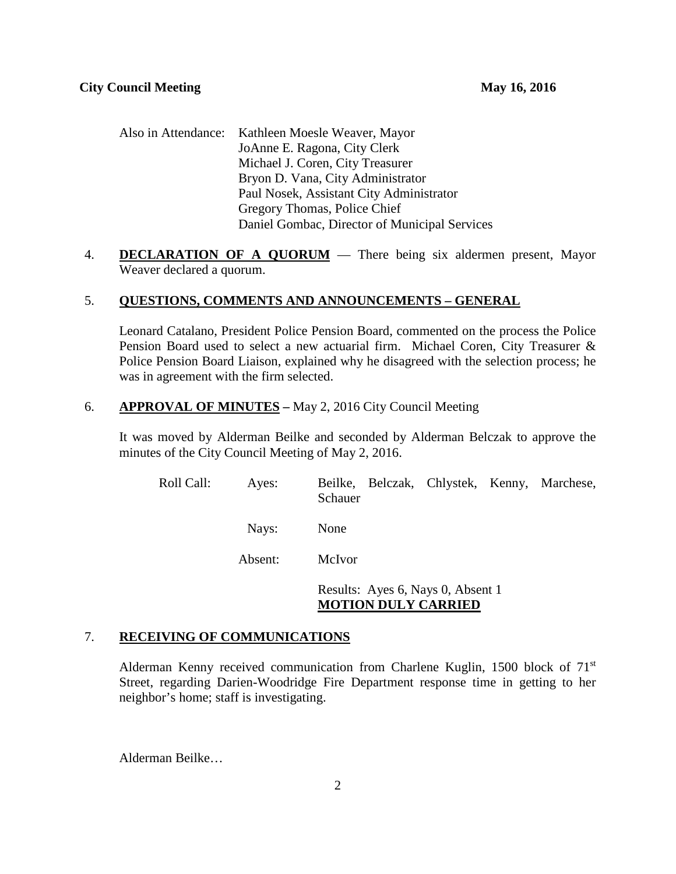| Also in Attendance: Kathleen Moesle Weaver, Mayor |  |
|---------------------------------------------------|--|
| JoAnne E. Ragona, City Clerk                      |  |
| Michael J. Coren, City Treasurer                  |  |
| Bryon D. Vana, City Administrator                 |  |
| Paul Nosek, Assistant City Administrator          |  |
| Gregory Thomas, Police Chief                      |  |
| Daniel Gombac, Director of Municipal Services     |  |

4. **DECLARATION OF A QUORUM** — There being six aldermen present, Mayor Weaver declared a quorum.

# 5. **QUESTIONS, COMMENTS AND ANNOUNCEMENTS – GENERAL**

Leonard Catalano, President Police Pension Board, commented on the process the Police Pension Board used to select a new actuarial firm. Michael Coren, City Treasurer & Police Pension Board Liaison, explained why he disagreed with the selection process; he was in agreement with the firm selected.

# 6. **APPROVAL OF MINUTES –** May 2, 2016 City Council Meeting

It was moved by Alderman Beilke and seconded by Alderman Belczak to approve the minutes of the City Council Meeting of May 2, 2016.

| Roll Call: | Ayes:   | Schauer |  | Beilke, Belczak, Chlystek, Kenny, Marchese, |
|------------|---------|---------|--|---------------------------------------------|
|            | Nays:   | None    |  |                                             |
|            | Absent: | McIvor  |  |                                             |

Results: Ayes 6, Nays 0, Absent 1 **MOTION DULY CARRIED**

# 7. **RECEIVING OF COMMUNICATIONS**

Alderman Kenny received communication from Charlene Kuglin, 1500 block of 71st Street, regarding Darien-Woodridge Fire Department response time in getting to her neighbor's home; staff is investigating.

Alderman Beilke…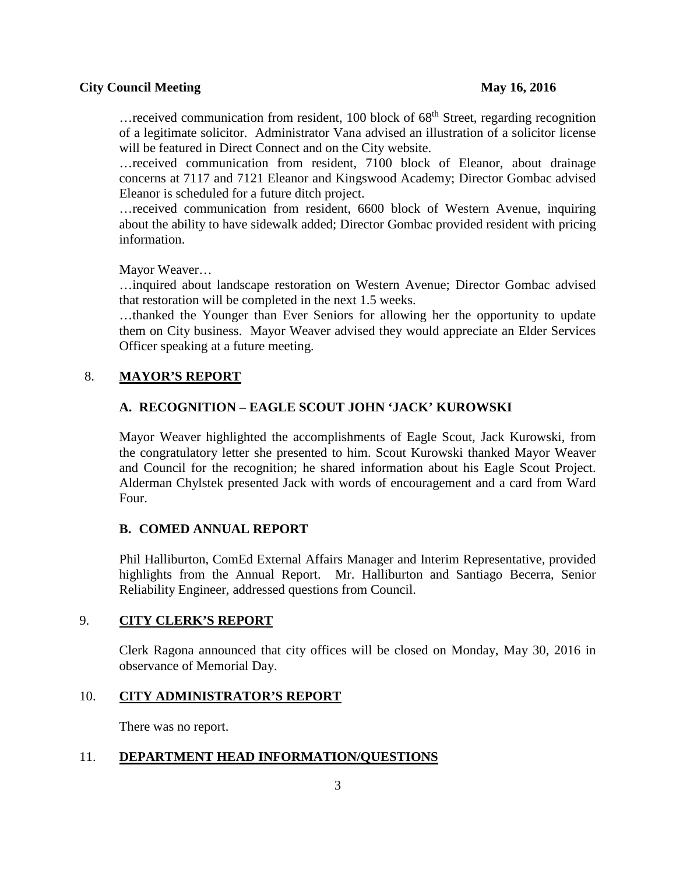#### **City Council Meeting 2016**

 $\ldots$  received communication from resident, 100 block of 68<sup>th</sup> Street, regarding recognition of a legitimate solicitor. Administrator Vana advised an illustration of a solicitor license will be featured in Direct Connect and on the City website.

…received communication from resident, 7100 block of Eleanor, about drainage concerns at 7117 and 7121 Eleanor and Kingswood Academy; Director Gombac advised Eleanor is scheduled for a future ditch project.

…received communication from resident, 6600 block of Western Avenue, inquiring about the ability to have sidewalk added; Director Gombac provided resident with pricing information.

Mayor Weaver…

…inquired about landscape restoration on Western Avenue; Director Gombac advised that restoration will be completed in the next 1.5 weeks.

…thanked the Younger than Ever Seniors for allowing her the opportunity to update them on City business. Mayor Weaver advised they would appreciate an Elder Services Officer speaking at a future meeting.

### 8. **MAYOR'S REPORT**

# **A. RECOGNITION – EAGLE SCOUT JOHN 'JACK' KUROWSKI**

Mayor Weaver highlighted the accomplishments of Eagle Scout, Jack Kurowski, from the congratulatory letter she presented to him. Scout Kurowski thanked Mayor Weaver and Council for the recognition; he shared information about his Eagle Scout Project. Alderman Chylstek presented Jack with words of encouragement and a card from Ward Four.

#### **B. COMED ANNUAL REPORT**

Phil Halliburton, ComEd External Affairs Manager and Interim Representative, provided highlights from the Annual Report. Mr. Halliburton and Santiago Becerra, Senior Reliability Engineer, addressed questions from Council.

# 9. **CITY CLERK'S REPORT**

Clerk Ragona announced that city offices will be closed on Monday, May 30, 2016 in observance of Memorial Day.

#### 10. **CITY ADMINISTRATOR'S REPORT**

There was no report.

#### 11. **DEPARTMENT HEAD INFORMATION/QUESTIONS**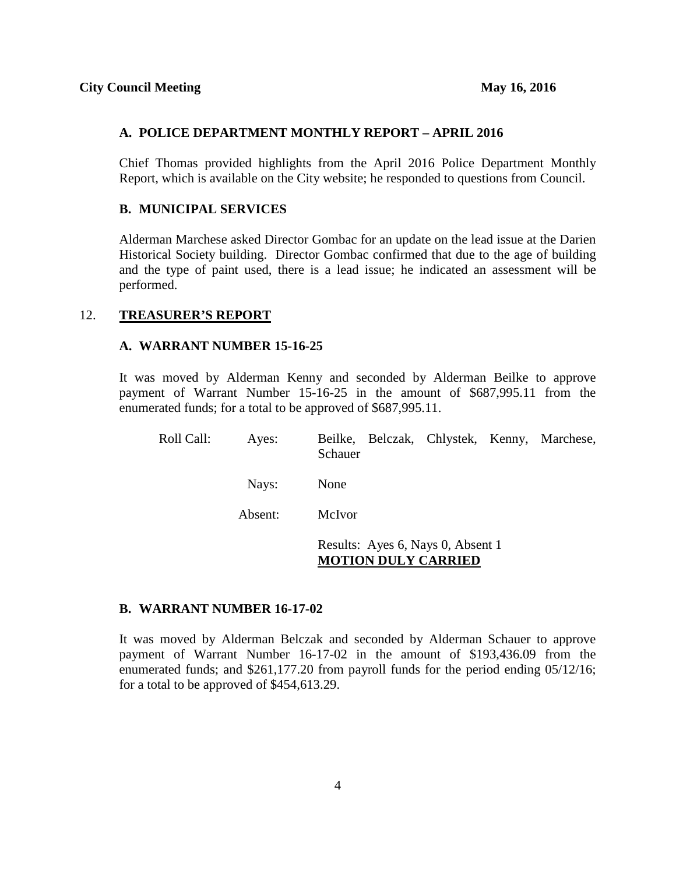#### **A. POLICE DEPARTMENT MONTHLY REPORT – APRIL 2016**

Chief Thomas provided highlights from the April 2016 Police Department Monthly Report, which is available on the City website; he responded to questions from Council.

# **B. MUNICIPAL SERVICES**

Alderman Marchese asked Director Gombac for an update on the lead issue at the Darien Historical Society building. Director Gombac confirmed that due to the age of building and the type of paint used, there is a lead issue; he indicated an assessment will be performed.

#### 12. **TREASURER'S REPORT**

#### **A. WARRANT NUMBER 15-16-25**

It was moved by Alderman Kenny and seconded by Alderman Beilke to approve payment of Warrant Number 15-16-25 in the amount of \$687,995.11 from the enumerated funds; for a total to be approved of \$687,995.11.

| Roll Call: | Ayes:   | Beilke, Belczak, Chlystek, Kenny, Marchese,<br>Schauer          |
|------------|---------|-----------------------------------------------------------------|
|            | Nays:   | None                                                            |
|            | Absent: | McIvor                                                          |
|            |         | Results: Ayes 6, Nays 0, Absent 1<br><b>MOTION DULY CARRIED</b> |

#### **B. WARRANT NUMBER 16-17-02**

It was moved by Alderman Belczak and seconded by Alderman Schauer to approve payment of Warrant Number 16-17-02 in the amount of \$193,436.09 from the enumerated funds; and \$261,177.20 from payroll funds for the period ending 05/12/16; for a total to be approved of \$454,613.29.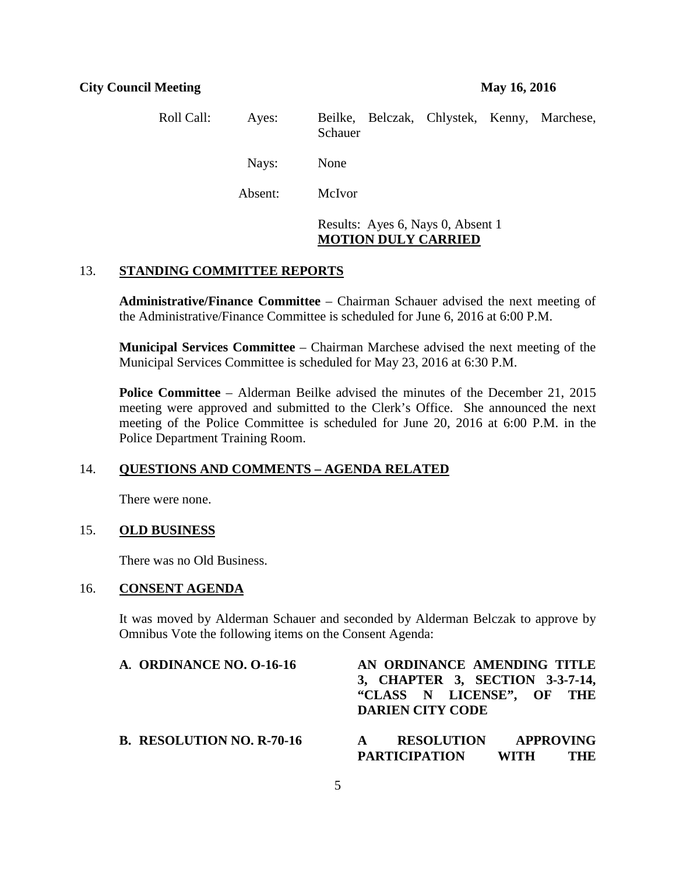| Roll Call: | Ayes:   | Beilke, Belczak, Chlystek, Kenny, Marchese,<br>Schauer |                                   |  |  |
|------------|---------|--------------------------------------------------------|-----------------------------------|--|--|
|            | Nays:   | None                                                   |                                   |  |  |
|            | Absent: | McIvor                                                 |                                   |  |  |
|            |         |                                                        | Results: Ayes 6, Nays 0, Absent 1 |  |  |

# **MOTION DULY CARRIED**

# 13. **STANDING COMMITTEE REPORTS**

**Administrative/Finance Committee** – Chairman Schauer advised the next meeting of the Administrative/Finance Committee is scheduled for June 6, 2016 at 6:00 P.M.

**Municipal Services Committee** – Chairman Marchese advised the next meeting of the Municipal Services Committee is scheduled for May 23, 2016 at 6:30 P.M.

**Police Committee** – Alderman Beilke advised the minutes of the December 21, 2015 meeting were approved and submitted to the Clerk's Office. She announced the next meeting of the Police Committee is scheduled for June 20, 2016 at 6:00 P.M. in the Police Department Training Room.

#### 14. **QUESTIONS AND COMMENTS – AGENDA RELATED**

There were none.

# 15. **OLD BUSINESS**

There was no Old Business.

### 16. **CONSENT AGENDA**

It was moved by Alderman Schauer and seconded by Alderman Belczak to approve by Omnibus Vote the following items on the Consent Agenda:

| A. ORDINANCE NO. 0-16-16         | AN ORDINANCE AMENDING TITLE<br>3, CHAPTER 3, SECTION 3-3-7-14,<br>"CLASS N LICENSE", OF THE<br><b>DARIEN CITY CODE</b> |
|----------------------------------|------------------------------------------------------------------------------------------------------------------------|
| <b>B. RESOLUTION NO. R-70-16</b> | <b>RESOLUTION APPROVING</b><br>$\mathbf{A}$<br><b>PARTICIPATION</b><br>WITH<br><b>THE</b>                              |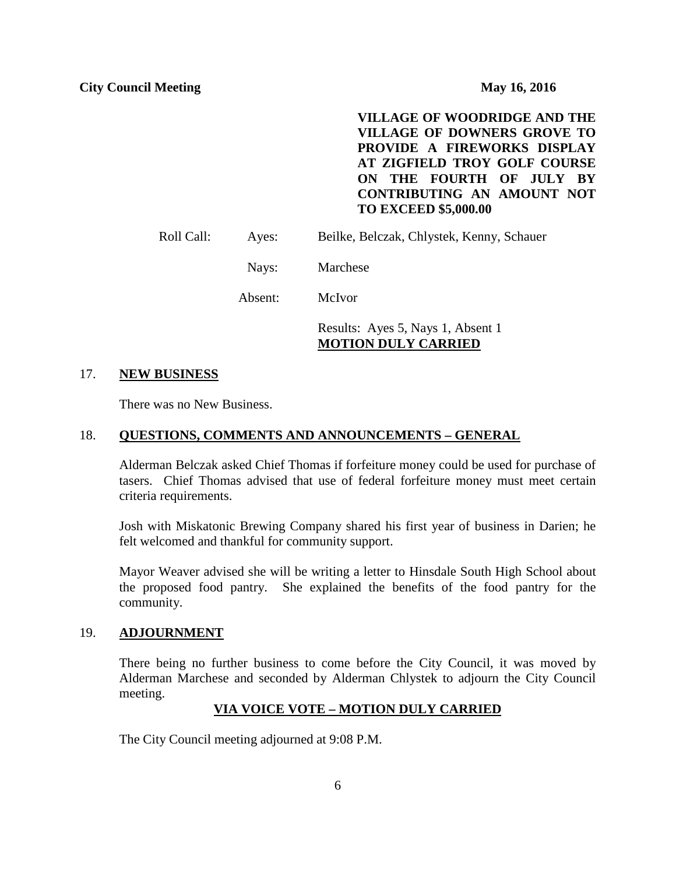**VILLAGE OF WOODRIDGE AND THE VILLAGE OF DOWNERS GROVE TO PROVIDE A FIREWORKS DISPLAY AT ZIGFIELD TROY GOLF COURSE ON THE FOURTH OF JULY BY CONTRIBUTING AN AMOUNT NOT TO EXCEED \$5,000.00**

Roll Call: Ayes: Beilke, Belczak, Chlystek, Kenny, Schauer

Nays: Marchese

Absent: McIvor

Results: Ayes 5, Nays 1, Absent 1 **MOTION DULY CARRIED**

#### 17. **NEW BUSINESS**

There was no New Business.

#### 18. **QUESTIONS, COMMENTS AND ANNOUNCEMENTS – GENERAL**

Alderman Belczak asked Chief Thomas if forfeiture money could be used for purchase of tasers. Chief Thomas advised that use of federal forfeiture money must meet certain criteria requirements.

Josh with Miskatonic Brewing Company shared his first year of business in Darien; he felt welcomed and thankful for community support.

Mayor Weaver advised she will be writing a letter to Hinsdale South High School about the proposed food pantry. She explained the benefits of the food pantry for the community.

#### 19. **ADJOURNMENT**

There being no further business to come before the City Council, it was moved by Alderman Marchese and seconded by Alderman Chlystek to adjourn the City Council meeting.

### **VIA VOICE VOTE – MOTION DULY CARRIED**

The City Council meeting adjourned at 9:08 P.M.